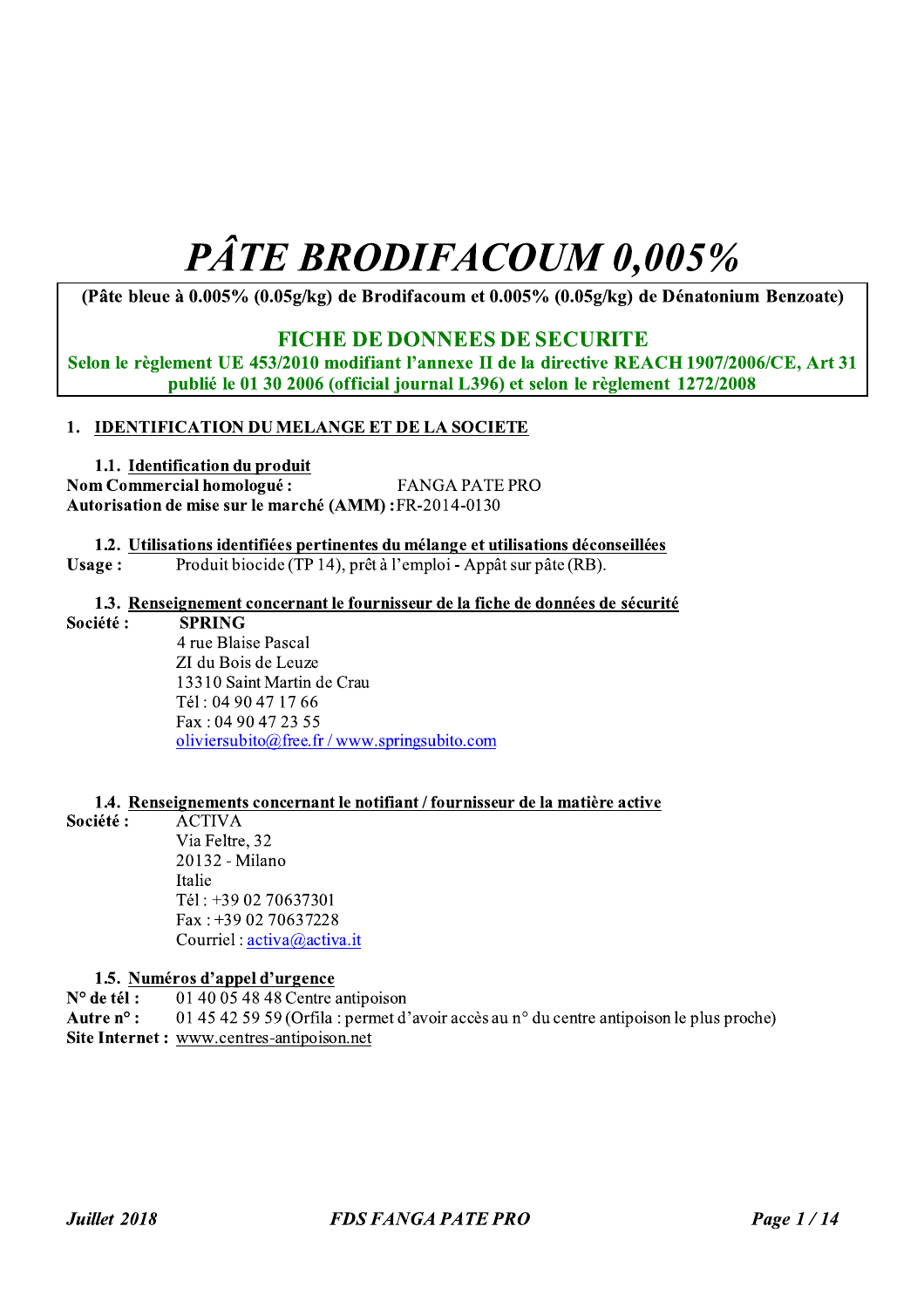# **PÂTE BRODIFACOUM 0,005%**

(Pâte bleue à 0.005% (0.05g/kg) de Brodifacoum et 0.005% (0.05g/kg) de Dénatonium Benzoate)

## **FICHE DE DONNEES DE SECURITE**

Selon le règlement UE 453/2010 modifiant l'annexe II de la directive REACH 1907/2006/CE, Art 31 publié le 01 30 2006 (official journal L396) et selon le règlement 1272/2008

## 1. IDENTIFICATION DUMELANGE ET DE LA SOCIETE

1.1. Identification du produit Nom Commercial homologué: **FANGA PATE PRO** Autorisation de mise sur le marché (AMM): FR-2014-0130

1.2. Utilisations identifiées pertinentes du mélange et utilisations déconseillées Produit biocide (TP 14), prêt à l'emploi - Appât sur pâte (RB). Usage:

1.3. Renseignement concernant le fournisseur de la fiche de données de sécurité

#### Société: **SPRING**

4 rue Blaise Pascal ZI du Bois de Leuze 13310 Saint Martin de Crau Tél: 04 90 47 17 66 Fax: 04 90 47 23 55 oliviersubito@free.fr/www.springsubito.com

#### 1.4. Renseignements concernant le notifiant / fournisseur de la matière active

Société: **ACTIVA** Via Feltre, 32 20132 - Milano Italie Tél: +39 02 70637301

Fax:  $+390270637228$ Courriel: activa@activa.it

#### 1.5. Numéros d'appel d'urgence

 $N^{\circ}$  de tél: 01 40 05 48 48 Centre antipoison 01 45 42 59 59 (Orfila: permet d'avoir accès au n° du centre antipoison le plus proche) Autre  $n^{\circ}$ : Site Internet: www.centres-antipoison.net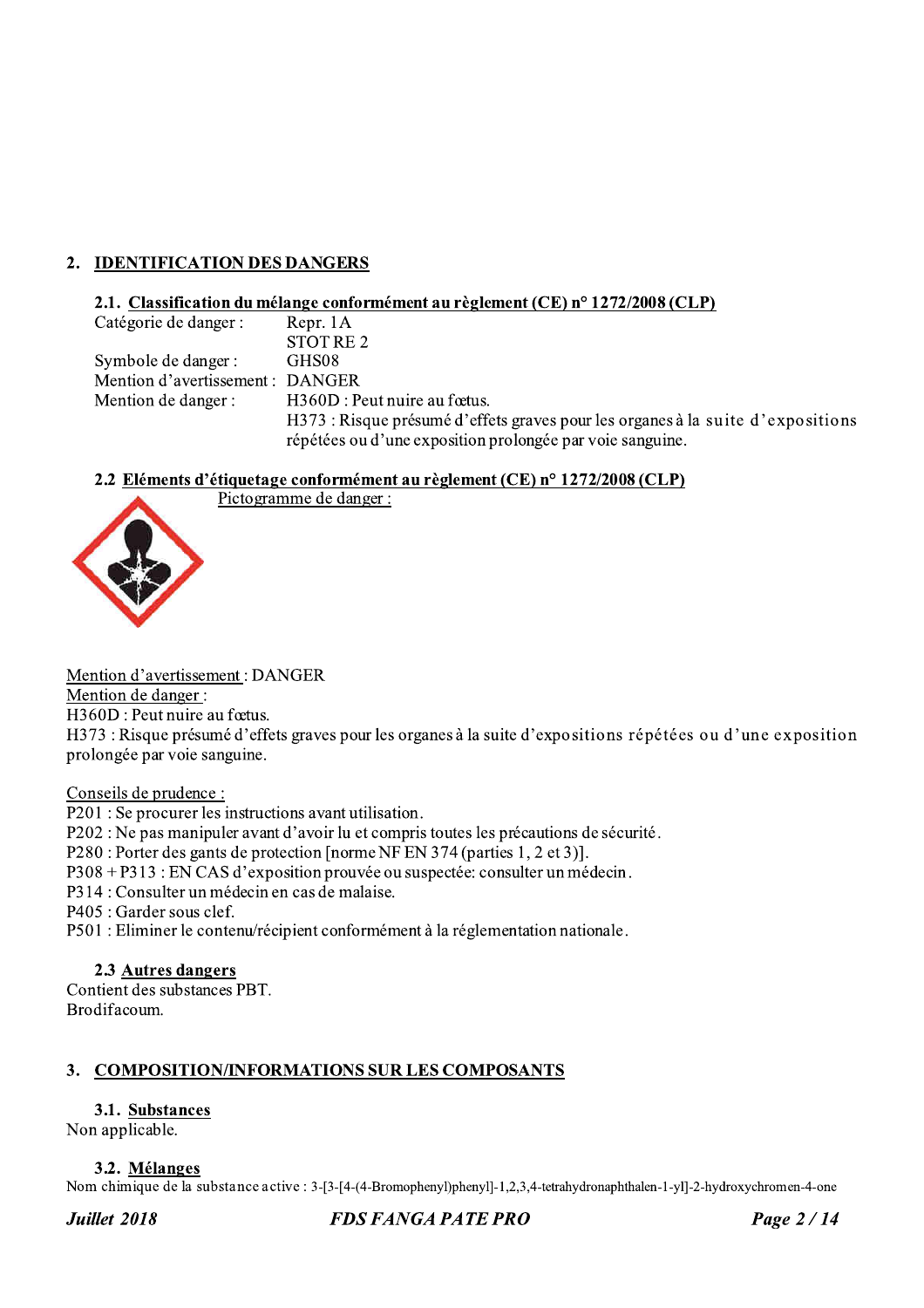## 2. IDENTIFICATION DES DANGERS

#### 2.1. Classification du mélange conformément au règlement (CE) n° 1272/2008 (CLP)

| Catégorie de danger :            | Repr. 1A                                                                       |
|----------------------------------|--------------------------------------------------------------------------------|
|                                  | STOT RE 2                                                                      |
| Symbole de danger :              | GHS08                                                                          |
| Mention d'avertissement : DANGER |                                                                                |
| Mention de danger :              | H360D : Peut nuire au fœtus.                                                   |
|                                  | H373: Risque présumé d'effets graves pour les organes à la suite d'expositions |
|                                  | répétées ou d'une exposition prolongée par voie sanguine.                      |

#### 2.2 Eléments d'étiquetage conformément au règlement (CE) n° 1272/2008 (CLP) Pictogramme de danger :

Mention d'avertissement : DANGER

Mention de danger :

H360D : Peut nuire au fœtus.

H373 : Risque présumé d'effets graves pour les organes à la suite d'expositions répétées ou d'une exposition prolongée par voie sanguine.

Conseils de prudence :

P201 : Se procurer les instructions avant utilisation.

P202 : Ne pas manipuler avant d'avoir lu et compris toutes les précautions de sécurité.

P280 : Porter des gants de protection [norme NF EN 374 (parties 1, 2 et 3)].

P308 + P313 : EN CAS d'exposition prouvée ou suspectée: consulter un médecin.

P314 : Consulter un médecin en cas de malaise.

P405 : Garder sous clef.

P501 : Eliminer le contenu/récipient conformément à la réglementation nationale.

#### 2.3 Autres dangers

Contient des substances PBT. Brodifacoum.

## 3. COMPOSITION/INFORMATIONS SUR LES COMPOSANTS

## 3.1. Substances

Non applicable.

#### 3.2. Mélanges

Nom chimique de la substance active : 3-[3-[4-(4-Bromophenyl]phenyl]-1,2,3,4-tetrahydronaphthalen-1-yl]-2-hydroxychromen-4-one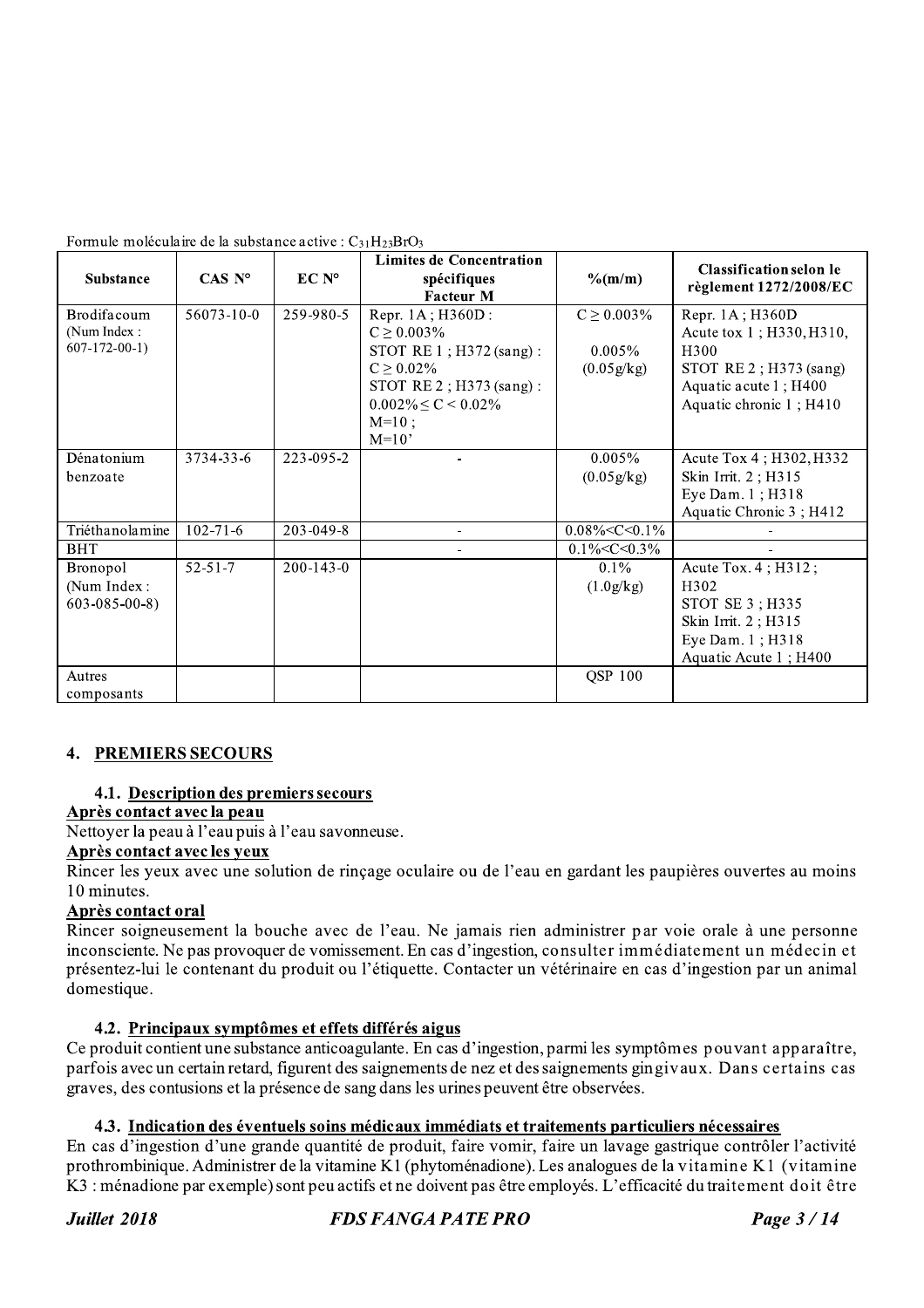| Formule moléculaire de la substance active : $C_{31}H_{23}BrO_3$ |  |  |
|------------------------------------------------------------------|--|--|
|                                                                  |  |  |

| <b>Substance</b>     | $CAS\ N^{\circ}$ | EC N°           | <b>Limites de Concentration</b><br>spécifiques | $\%$ (m/m)           | <b>Classification selon le</b> |
|----------------------|------------------|-----------------|------------------------------------------------|----------------------|--------------------------------|
|                      |                  |                 | <b>Facteur M</b>                               |                      | règlement 1272/2008/EC         |
| Brodifacoum          | 56073-10-0       | 259-980-5       | Repr. 1A; H360D:                               | $C \ge 0.003\%$      | Repr. 1A; H360D                |
| (Num Index:          |                  |                 | $C \ge 0.003\%$                                |                      | Acute tox 1; H330, H310,       |
| $607-172-00-1$       |                  |                 | STOT RE 1; H372 (sang):                        | $0.005\%$            | H <sub>300</sub>               |
|                      |                  |                 | $C \ge 0.02\%$                                 | (0.05g/kg)           | STOT RE $2$ ; H373 (sang)      |
|                      |                  |                 | STOT RE 2; H373 (sang):                        |                      | Aquatic acute 1; H400          |
|                      |                  |                 | $0.002\% \le C \le 0.02\%$                     |                      | Aquatic chronic 1; H410        |
|                      |                  |                 | $M=10;$                                        |                      |                                |
|                      |                  |                 | $M=10'$                                        |                      |                                |
| Dénatonium           | 3734-33-6        | 223-095-2       |                                                | $0.005\%$            | Acute Tox 4; H302, H332        |
| benzoate             |                  |                 |                                                | (0.05g/kg)           | Skin Irrit. 2; H315            |
|                      |                  |                 |                                                |                      | Eye Dam. 1; H318               |
|                      |                  |                 |                                                |                      | Aquatic Chronic 3; H412        |
| Triéthanolamine      | $102 - 71 - 6$   | 203-049-8       |                                                | $0.08\% < C < 0.1\%$ |                                |
| <b>BHT</b>           |                  |                 |                                                | $0.1\% < C < 0.3\%$  |                                |
| Bronopol             | $52 - 51 - 7$    | $200 - 143 - 0$ |                                                | $0.1\%$              | Acute Tox. 4; H312;            |
| (Num Index:          |                  |                 |                                                | (1.0g/kg)            | H302                           |
| $603 - 085 - 00 - 8$ |                  |                 |                                                |                      | STOT SE 3; H335                |
|                      |                  |                 |                                                |                      | Skin Irrit. 2; H315            |
|                      |                  |                 |                                                |                      | Eye Dam. 1; H318               |
|                      |                  |                 |                                                |                      | Aquatic Acute 1; H400          |
| Autres               |                  |                 |                                                | <b>QSP 100</b>       |                                |
| composants           |                  |                 |                                                |                      |                                |

## **4. PREMIERS SECOURS**

#### 4.1. Description des premiers secours

## Après contact avec la peau

Nettoyer la peau à l'eau puis à l'eau savonneuse.

#### Après contact avec les veux

Rincer les yeux avec une solution de rinçage oculaire ou de l'eau en gardant les paupières ouvertes au moins 10 minutes.

#### Après contact oral

Rincer soigneusement la bouche avec de l'eau. Ne jamais rien administrer par voie orale à une personne inconsciente. Ne pas provoquer de vomissement. En cas d'ingestion, consulter immédiatement un médecin et présentez-lui le contenant du produit ou l'étiquette. Contacter un vétérinaire en cas d'ingestion par un animal domestique.

#### 4.2. Principaux symptômes et effets différés aigus

Ce produit contient une substance anticoagulante. En cas d'ingestion, parmi les symptômes pouvant apparaître, parfois avec un certain retard, figurent des saignements de nez et des saignements gingivaux. Dans certains cas graves, des contusions et la présence de sang dans les urines peuvent être observées.

## 4.3. Indication des éventuels soins médicaux immédiats et traitements particuliers nécessaires

En cas d'ingestion d'une grande quantité de produit, faire vomir, faire un lavage gastrique contrôler l'activité prothrombinique. Administrer de la vitamine K1 (phytoménadione). Les analogues de la vitamine K1 (vitamine K3 : ménadione par exemple) sont peu actifs et ne doivent pas être employés. L'efficacité du traitement doit être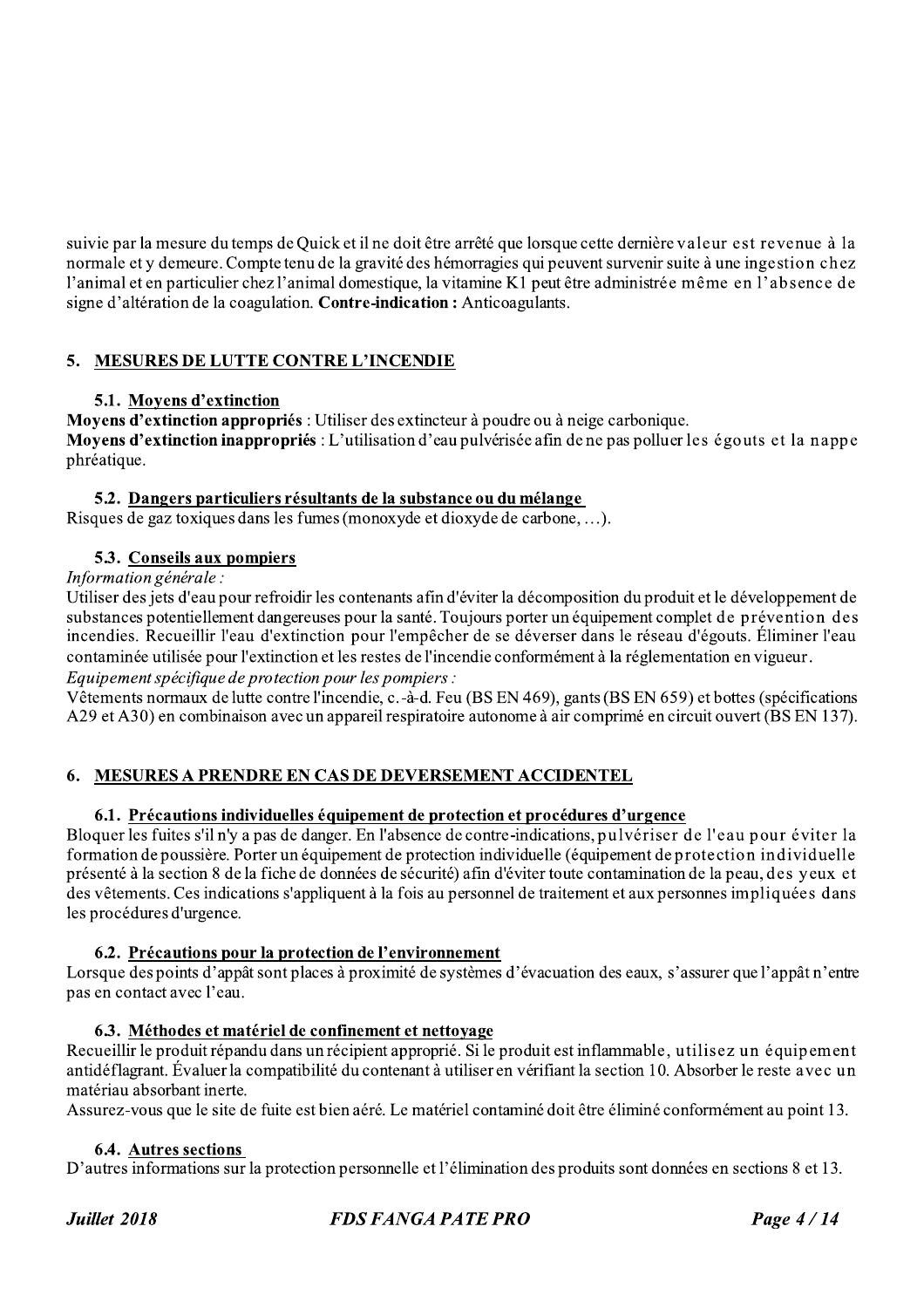suivie par la mesure du temps de Quick et il ne doit être arrêté que lorsque cette dernière valeur est revenue à la normale et y demeure. Compte tenu de la gravité des hémorragies qui peuvent survenir suite à une ingestion chez l'animal et en particulier chez l'animal domestique, la vitamine K1 peut être administrée même en l'absence de signe d'altération de la coagulation. Contre-indication : Anticoagulants.

## 5. MESURES DE LUTTE CONTRE L'INCENDIE

## 5.1. Moyens d'extinction

Moyens d'extinction appropriés : Utiliser des extincteur à poudre ou à neige carbonique.

Movens d'extinction inappropriés : L'utilisation d'eau pulvérisée afin de ne pas polluer les égouts et la nappe phréatique.

#### 5.2. Dangers particuliers résultants de la substance ou du mélange

Risques de gaz toxiques dans les fumes (monoxyde et dioxyde de carbone, ...).

#### 5.3. Conseils aux pompiers

#### Information générale :

Utiliser des jets d'eau pour refroidir les contenants afin d'éviter la décomposition du produit et le développement de substances potentiellement dangereuses pour la santé. Toujours porter un équipement complet de prévention des incendies. Recueillir l'eau d'extinction pour l'empêcher de se déverser dans le réseau d'égouts. Éliminer l'eau contaminée utilisée pour l'extinction et les restes de l'incendie conformément à la réglementation en vigueur. Equipement spécifique de protection pour les pompiers :

Vêtements normaux de lutte contre l'incendie, c.-à-d. Feu (BS EN 469), gants (BS EN 659) et bottes (spécifications A29 et A30) en combinaison avec un appareil respiratoire autonome à air comprimé en circuit ouvert (BS EN 137).

## 6. MESURES A PRENDRE EN CAS DE DEVERSEMENT ACCIDENTEL

#### 6.1. Précautions individuelles équipement de protection et procédures d'urgence

Bloquer les fuites s'il n'y a pas de danger. En l'absence de contre-indications, pulvériser de l'eau pour éviter la formation de poussière. Porter un équipement de protection individuelle (équipement de protection individuelle présenté à la section 8 de la fiche de données de sécurité) afin d'éviter toute contamination de la peau, des yeux et des vêtements. Ces indications s'appliquent à la fois au personnel de traitement et aux personnes impliquées dans les procédures d'urgence.

#### 6.2. Précautions pour la protection de l'environnement

Lorsque des points d'appât sont places à proximité de systèmes d'évacuation des eaux, s'assurer que l'appât n'entre pas en contact avec l'eau.

#### 6.3. Méthodes et matériel de confinement et nettovage

Recueillir le produit répandu dans un récipient approprié. Si le produit est inflammable, utilisez un équipement antidéflagrant. Évaluer la compatibilité du contenant à utiliser en vérifiant la section 10. Absorber le reste avec un matériau absorbant inerte.

Assurez-vous que le site de fuite est bien aéré. Le matériel contaminé doit être éliminé conformément au point 13.

#### **6.4. Autres sections**

D'autres informations sur la protection personnelle et l'élimination des produits sont données en sections 8 et 13.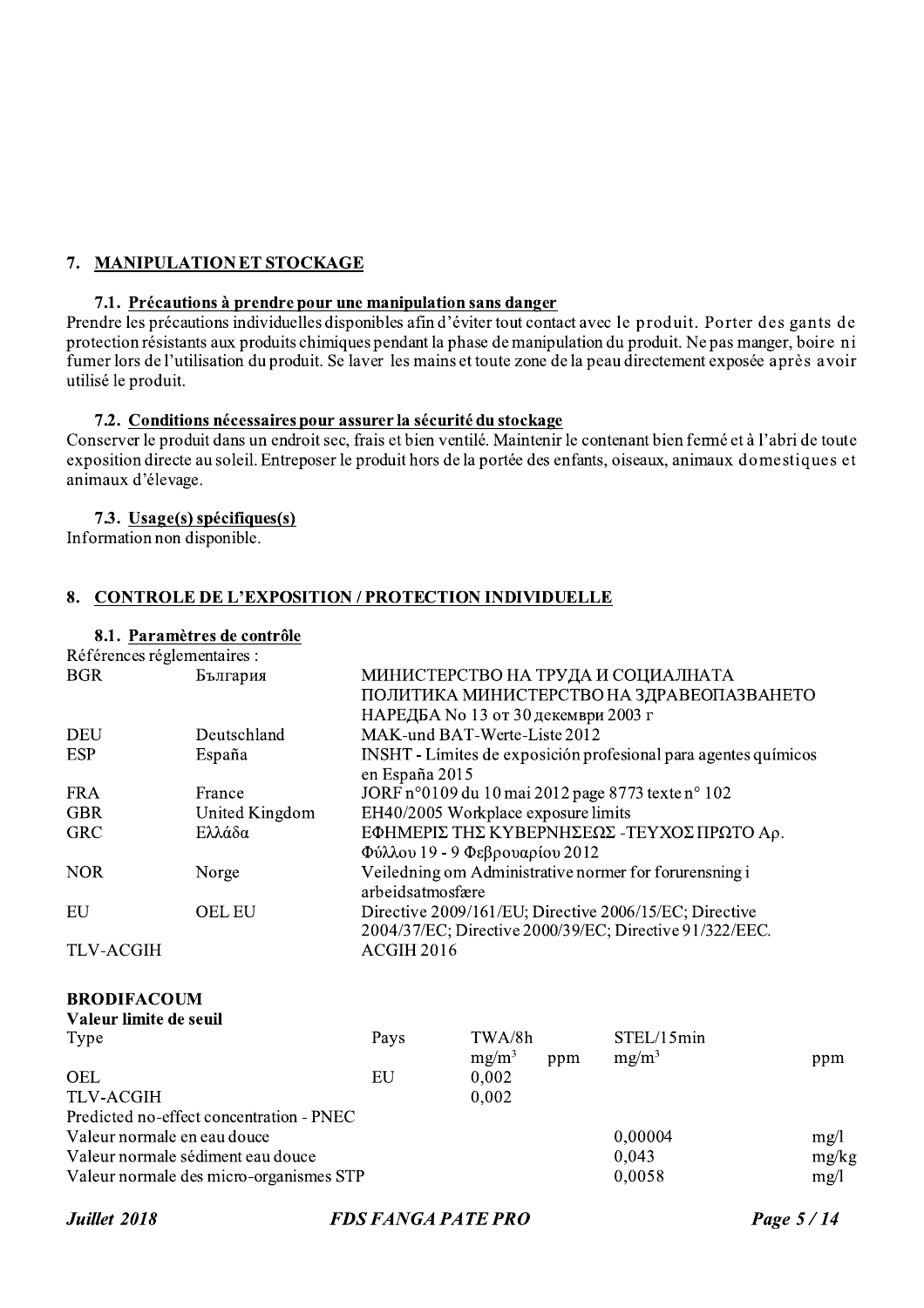## 7. MANIPULATION ET STOCKAGE

#### 7.1. Précautions à prendre pour une manipulation sans danger

Prendre les précautions individuelles disponibles afin d'éviter tout contact avec le produit. Porter des gants de protection résistants aux produits chimiques pendant la phase de manipulation du produit. Ne pas manger, boire ni fumer lors de l'utilisation du produit. Se laver les mains et toute zone de la peau directement exposée après avoir utilisé le produit.

#### 7.2. Conditions nécessaires pour assurer la sécurité du stockage

Conserver le produit dans un endroit sec. frais et bien ventilé. Maintenir le contenant bien fermé et à l'abri de toute exposition directe au soleil. Entreposer le produit hors de la portée des enfants, oiseaux, animaux domestiques et animaux d'élevage.

#### 7.3. Usage(s) spécifiques(s)

Information non disponible.

#### 8. CONTROLE DE L'EXPOSITION / PROTECTION INDIVIDUELLE

# 8.1. Paramètres de contrôle

| References regiementaires : |                                          |                                     |          |     |                                                                 |       |
|-----------------------------|------------------------------------------|-------------------------------------|----------|-----|-----------------------------------------------------------------|-------|
| <b>BGR</b>                  | България                                 |                                     |          |     | МИНИСТЕРСТВО НА ТРУДА И СОЦИАЛНАТА                              |       |
|                             |                                          |                                     |          |     | ПОЛИТИКА МИНИСТЕРСТВО НА ЗДРАВЕОПАЗВАНЕТО                       |       |
|                             |                                          | НАРЕДБА No 13 от 30 декември 2003 г |          |     |                                                                 |       |
| <b>DEU</b>                  | Deutschland                              | MAK-und BAT-Werte-Liste 2012        |          |     |                                                                 |       |
| <b>ESP</b>                  | España                                   | en España 2015                      |          |     | INSHT - Límites de exposición profesional para agentes químicos |       |
| <b>FRA</b>                  | France                                   |                                     |          |     | JORF n°0109 du 10 mai 2012 page 8773 texte n° 102               |       |
| <b>GBR</b>                  | United Kingdom                           | EH40/2005 Workplace exposure limits |          |     |                                                                 |       |
| <b>GRC</b>                  | Ελλάδα                                   |                                     |          |     | ΕΦΗΜΕΡΙΣ ΤΗΣ ΚΥΒΕΡΝΗΣΕΩΣ -ΤΕΥΧΟΣ ΠΡΩΤΟ Αρ.                      |       |
|                             |                                          | $Φ$ ύλλου 19 - 9 Φεβρουαρίου 2012   |          |     |                                                                 |       |
| <b>NOR</b>                  | Norge                                    |                                     |          |     | Veiledning om Administrative normer for forurensning i          |       |
|                             |                                          | arbeidsatmosfære                    |          |     |                                                                 |       |
| EU                          | <b>OEL EU</b>                            |                                     |          |     | Directive 2009/161/EU; Directive 2006/15/EC; Directive          |       |
|                             |                                          |                                     |          |     | 2004/37/EC; Directive 2000/39/EC; Directive 91/322/EEC.         |       |
| <b>TLV-ACGIH</b>            |                                          | ACGIH 2016                          |          |     |                                                                 |       |
|                             |                                          |                                     |          |     |                                                                 |       |
| <b>BRODIFACOUM</b>          |                                          |                                     |          |     |                                                                 |       |
| Valeur limite de seuil      |                                          |                                     |          |     |                                                                 |       |
| Type                        |                                          | Pays                                | TWA/8h   |     | STEL/15min                                                      |       |
|                             |                                          |                                     | $mg/m^3$ | ppm | $mg/m^3$                                                        | ppm   |
| <b>OEL</b>                  |                                          | EU                                  | 0,002    |     |                                                                 |       |
| <b>TLV-ACGIH</b>            |                                          |                                     | 0,002    |     |                                                                 |       |
|                             | Predicted no-effect concentration - PNEC |                                     |          |     |                                                                 |       |
| Valeur normale en eau douce |                                          |                                     |          |     | 0,00004                                                         | mg/1  |
|                             | Valeur normale sédiment eau douce        |                                     |          |     | 0,043                                                           | mg/kg |
|                             | Valeur normale des micro-organismes STP  |                                     |          |     | 0,0058                                                          | mg/1  |
|                             |                                          |                                     |          |     |                                                                 |       |

Juillet 2018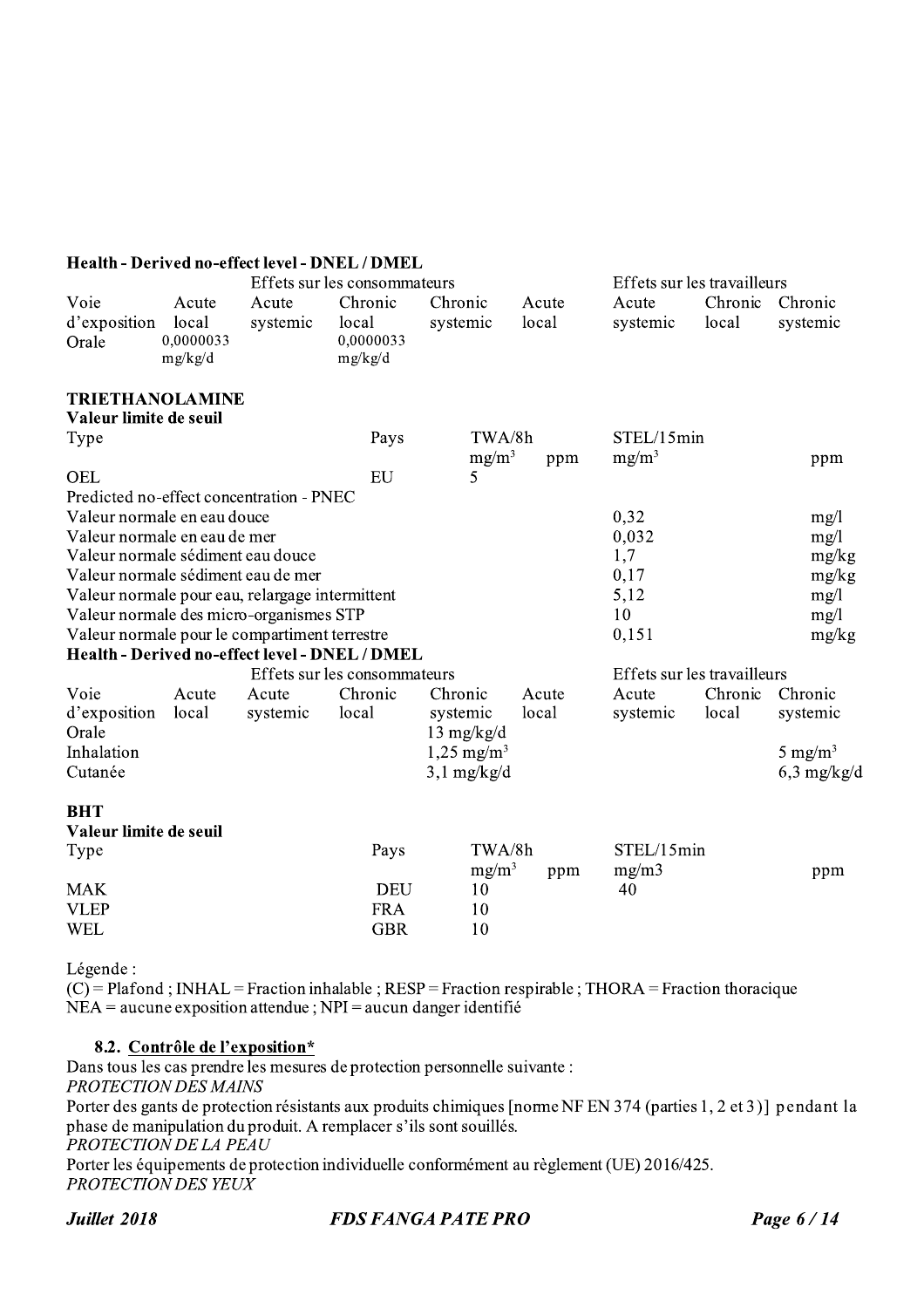#### Health - Derived no-effect level - DNEL / DMEL

|                                                                                                 |                                        |                   | Effets sur les consommateurs             |                                           |                | Effets sur les travailleurs |                  |                     |
|-------------------------------------------------------------------------------------------------|----------------------------------------|-------------------|------------------------------------------|-------------------------------------------|----------------|-----------------------------|------------------|---------------------|
| Voie<br>d'exposition<br>Orale                                                                   | Acute<br>local<br>0,0000033<br>mg/kg/d | Acute<br>systemic | Chronic<br>local<br>0,0000033<br>mg/kg/d | Chronic<br>systemic                       | Acute<br>local | Acute<br>systemic           | Chronic<br>local | Chronic<br>systemic |
| <b>TRIETHANOLAMINE</b><br>Valeur limite de seuil                                                |                                        |                   |                                          |                                           |                |                             |                  |                     |
| Type                                                                                            |                                        |                   | Pays                                     | TWA/8h                                    |                | STEL/15min                  |                  |                     |
|                                                                                                 |                                        |                   |                                          | $mg/m^3$                                  | ppm            | $mg/m^3$                    |                  | ppm                 |
| OEL                                                                                             |                                        |                   | EU                                       | 5                                         |                |                             |                  |                     |
| Predicted no-effect concentration - PNEC                                                        |                                        |                   |                                          |                                           |                |                             |                  |                     |
| Valeur normale en eau douce                                                                     |                                        |                   |                                          |                                           |                | 0,32                        |                  | mg/1                |
| Valeur normale en eau de mer                                                                    |                                        |                   |                                          |                                           |                | 0,032                       |                  | mg/1                |
| Valeur normale sédiment eau douce                                                               |                                        |                   |                                          |                                           |                | 1,7                         |                  | mg/kg               |
| Valeur normale sédiment eau de mer                                                              |                                        |                   |                                          |                                           |                | 0,17                        |                  | mg/kg               |
| Valeur normale pour eau, relargage intermittent                                                 |                                        |                   |                                          |                                           |                | 5,12                        |                  | mg/1                |
| Valeur normale des micro-organismes STP                                                         |                                        |                   |                                          |                                           |                | 10                          |                  | mg/1                |
| Valeur normale pour le compartiment terrestre<br>Health - Derived no-effect level - DNEL / DMEL |                                        |                   |                                          |                                           |                | 0,151                       |                  | mg/kg               |
|                                                                                                 |                                        |                   | Effets sur les consommateurs             |                                           |                | Effets sur les travailleurs |                  |                     |
| Voie                                                                                            | Acute                                  |                   | Chronic                                  | Chronic                                   | Acute          | Acute                       | Chronic          | Chronic             |
| d'exposition<br>Orale                                                                           | local                                  | Acute<br>systemic | local                                    | systemic                                  | local          | systemic                    | local            | systemic            |
| Inhalation                                                                                      |                                        |                   |                                          | $13 \text{ mg/kg/d}$                      |                |                             |                  |                     |
| Cutanée                                                                                         |                                        |                   |                                          | $1,25$ mg/m <sup>3</sup><br>$3,1$ mg/kg/d |                |                             |                  | 5 mg/m <sup>3</sup> |
|                                                                                                 |                                        |                   |                                          |                                           |                |                             |                  | $6,3$ mg/kg/d       |
| <b>BHT</b>                                                                                      |                                        |                   |                                          |                                           |                |                             |                  |                     |
| Valeur limite de seuil                                                                          |                                        |                   |                                          |                                           |                |                             |                  |                     |
| Type                                                                                            |                                        |                   | Pays                                     | TWA/8h<br>$mg/m^3$                        | ppm            | STEL/15min<br>mg/m3         |                  | ppm                 |
| <b>MAK</b>                                                                                      |                                        |                   | <b>DEU</b>                               | 10                                        |                | 40                          |                  |                     |
| <b>VLEP</b>                                                                                     |                                        |                   | <b>FRA</b>                               | 10                                        |                |                             |                  |                     |
| <b>WEL</b>                                                                                      |                                        |                   | <b>GBR</b>                               | 10                                        |                |                             |                  |                     |

Légende:

 $(C)$  = Plafond; INHAL = Fraction inhalable; RESP = Fraction respirable; THORA = Fraction thoracique  $NEA =$  aucune exposition attendue ;  $NPI =$  aucun danger identifié

#### 8.2. Contrôle de l'exposition\*

Dans tous les cas prendre les mesures de protection personnelle suivante : PROTECTION DES MAINS Porter des gants de protection résistants aux produits chimiques [norme NF EN 374 (parties 1, 2 et 3)] pendant la phase de manipulation du produit. A remplacer s'ils sont souillés. PROTECTION DE LA PEAU Porter les équipements de protection individuelle conformément au règlement (UE) 2016/425. PROTECTION DES YEUX

Juillet 2018

**FDS FANGA PATE PRO**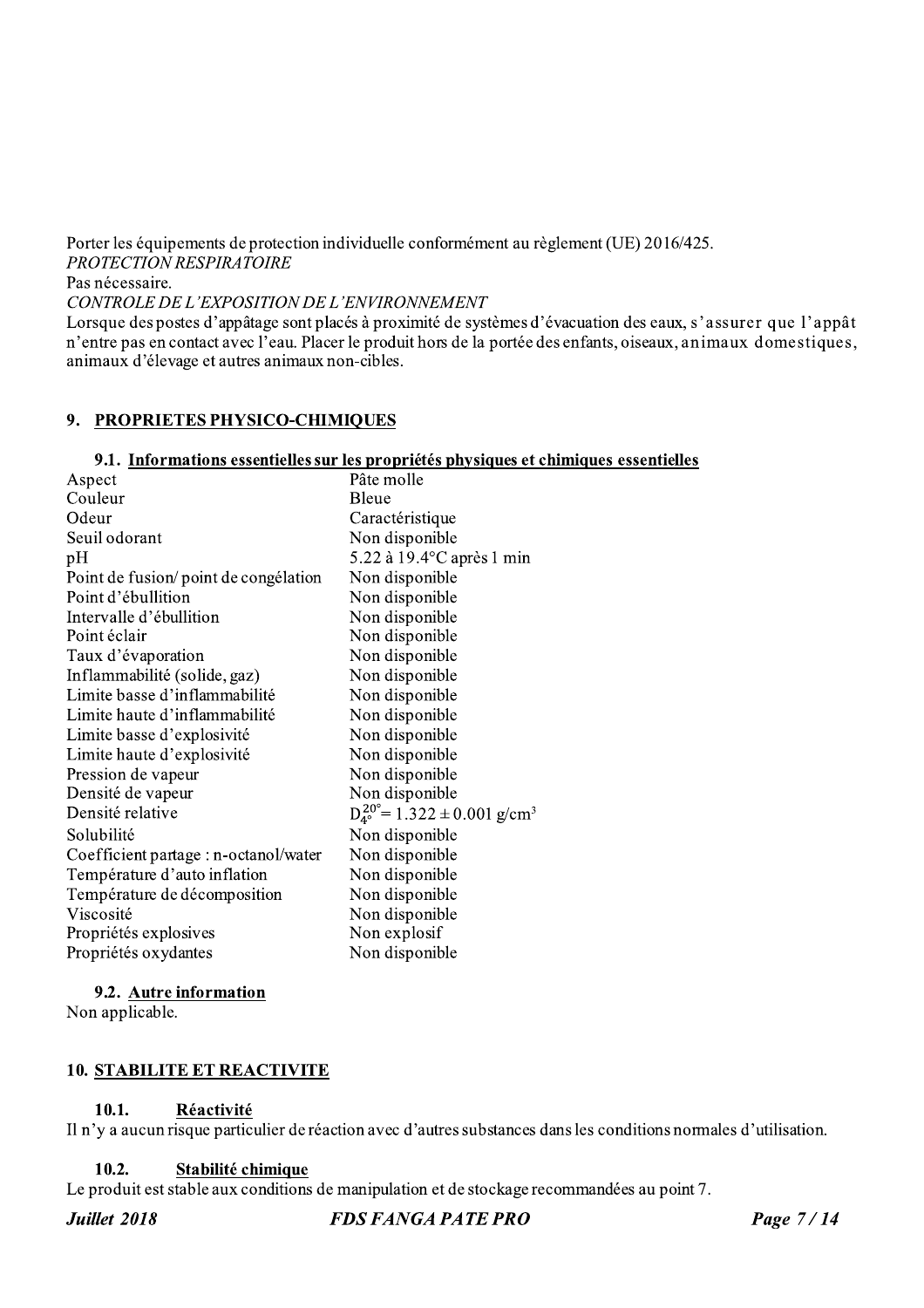Porter les équipements de protection individuelle conformément au règlement (UE) 2016/425. PROTECTION RESPIRATOIRE Pas nécessaire.

CONTROLE DE L'EXPOSITION DE L'ENVIRONNEMENT

Lorsque des postes d'appâtage sont placés à proximité de systèmes d'évacuation des eaux, s'assurer que l'appât n'entre pas en contact avec l'eau. Placer le produit hors de la portée des enfants, oiseaux, animaux domestiques, animaux d'élevage et autres animaux non-cibles.

#### 9. PROPRIETES PHYSICO-CHIMIQUES

#### 9.1. Informations essentielles sur les propriétés physiques et chimiques essentielles

| Aspect                                | Pâte molle                                                   |
|---------------------------------------|--------------------------------------------------------------|
| Couleur                               | Bleue                                                        |
| Odeur                                 | Caractéristique                                              |
| Seuil odorant                         | Non disponible                                               |
| pН                                    | $5.22$ à 19.4 °C après 1 min                                 |
| Point de fusion/point de congélation  | Non disponible                                               |
| Point d'ébullition                    | Non disponible                                               |
| Intervalle d'ébullition               | Non disponible                                               |
| Point éclair                          | Non disponible                                               |
| Taux d'évaporation                    | Non disponible                                               |
| Inflammabilité (solide, gaz)          | Non disponible                                               |
| Limite basse d'inflammabilité         | Non disponible                                               |
| Limite haute d'inflammabilité         | Non disponible                                               |
| Limite basse d'explosivité            | Non disponible                                               |
| Limite haute d'explosivité            | Non disponible                                               |
| Pression de vapeur                    | Non disponible                                               |
| Densité de vapeur                     | Non disponible                                               |
| Densité relative                      | $D_{4^\circ}^{20^\circ} = 1.322 \pm 0.001$ g/cm <sup>3</sup> |
| Solubilité                            | Non disponible                                               |
| Coefficient partage : n-octanol/water | Non disponible                                               |
| Température d'auto inflation          | Non disponible                                               |
| Température de décomposition          | Non disponible                                               |
| Viscosité                             | Non disponible                                               |
| Propriétés explosives                 | Non explosif                                                 |
| Propriétés oxydantes                  | Non disponible                                               |

#### 9.2. Autre information

Non applicable.

## **10. STABILITE ET REACTIVITE**

#### 10.1. Réactivité

Il n'y a aucun risque particulier de réaction avec d'autres substances dans les conditions normales d'utilisation.

#### $10.2.$ Stabilité chimique

Le produit est stable aux conditions de manipulation et de stockage recommandées au point 7.

Juillet 2018

**FDS FANGA PATE PRO**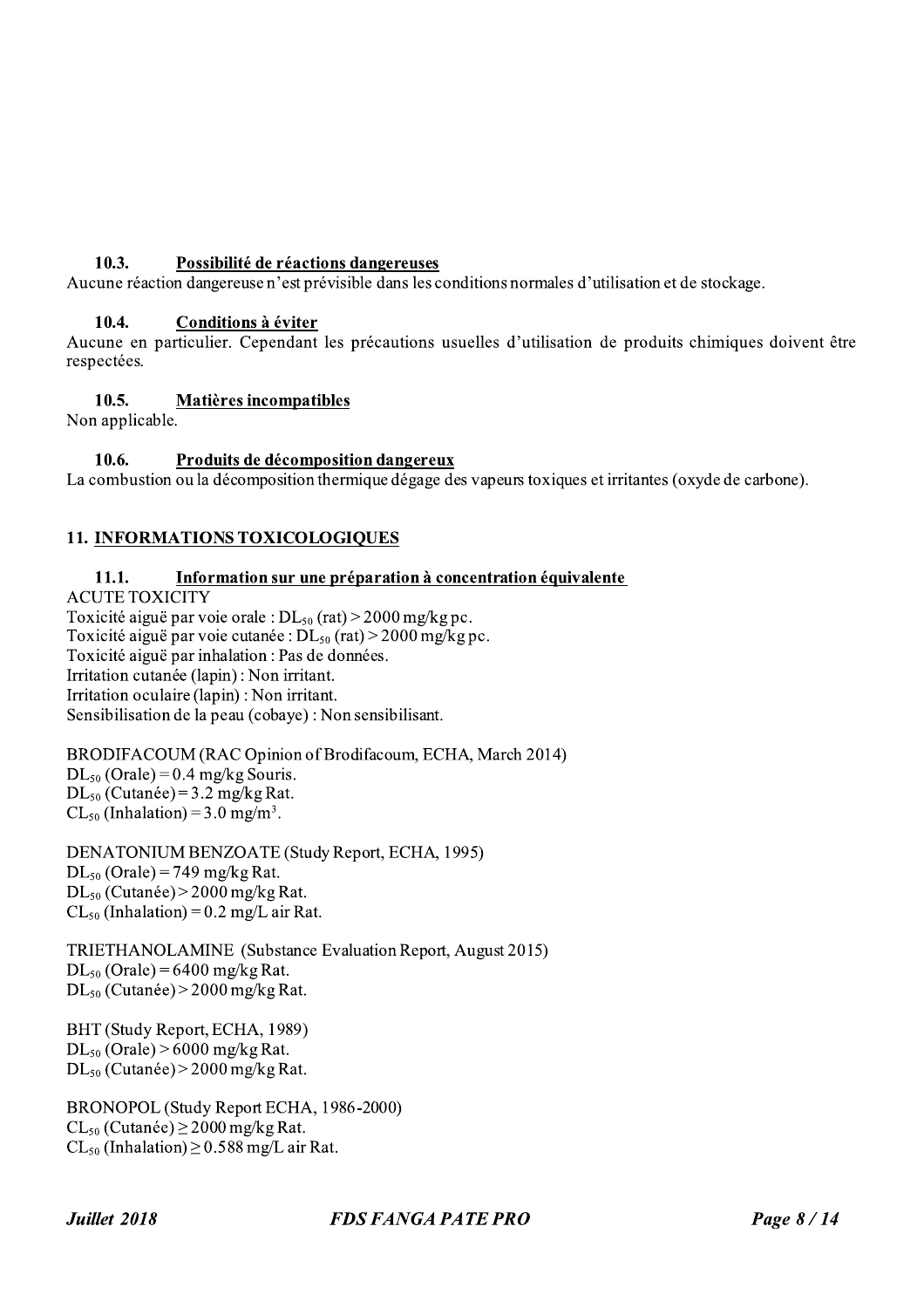**10.3. Possibilité de réactions dangereuses**<br>Aucune réaction dangereuse n'est prévisible dans les conditions normales d'utilisation et de stockage.<br>**10.4. Conditions à éviter**<br>Aucune en particulier. Cependant les préca **Possibilité de réactions dangereuses**<br>Aucune réaction dangereuse n'est prévisible dans les conditions normales d'utilisation et de stockage.<br>**10.4. Conditions à éviter**<br>Aucune en particulier. Cependant les précautions u **10.4.** Conditions à éviter<br>Aucune en particulier. Cependant les précautions usuelles d'utilisation de produits chimiques doivent<br>respectées.<br>**10.6.** Matières incompatibles<br>La combustion ou la décomposition dangereux<br>La c

#### 10.5. Matières incompatibles

Non applicable.

## 11. INFORMATIONS TOXICOLOGIQUES

Non applicable.<br> **10.6.** Produits de décomposition dangereux<br>
La combustion ou la décomposition thermique dégage des vapeurs toxiques et irritantes (oxydentled accomposition thermique dégage des vapeurs toxiques et irrita

BRODIFACOUM (RAC Opinion of Brodifacoum, ECHA, March 2014)  $DL_{50}$  (Orale) = 0.4 mg/kg Souris.  $DL_{50}$  (Cutanée) = 3.2 mg/kg Rat.  $CL_{50}$  (Inhalation) = 3.0 mg/m<sup>3</sup>.

 DENATONIUM BENZOATE (Study Report, ECHA, 1995)  $DL_{50}$  (Orale) = 749 mg/kg Rat.  $DL_{50}$  (Cutanée) > 2000 mg/kg Rat.  $CL_{50}$  (Inhalation) = 0.2 mg/L air Rat.

 IRIETHANOLAMINE (Substance Evaluation Report, August 2015)  $DL_{50}$  (Orale) = 6400 mg/kg Rat.  $DL_{50}$  (Cutanée) > 2000 mg/kg Rat.

 $\mathbb{L}$ BH I (Study Report, ECHA, 1989)  $DL_{50}$  (Orale) > 6000 mg/kg Rat.  $DL_{50}$  (Cutanée) > 2000 mg/kg Rat.

L. BRONOPOL (Study Report ECHA, 1986-2000)  $CL_{50}$  (Cutanée)  $\geq$  2000 mg/kg Rat.  $CL_{50}$  (Inhalation)  $\geq$  0.588 mg/L air Rat.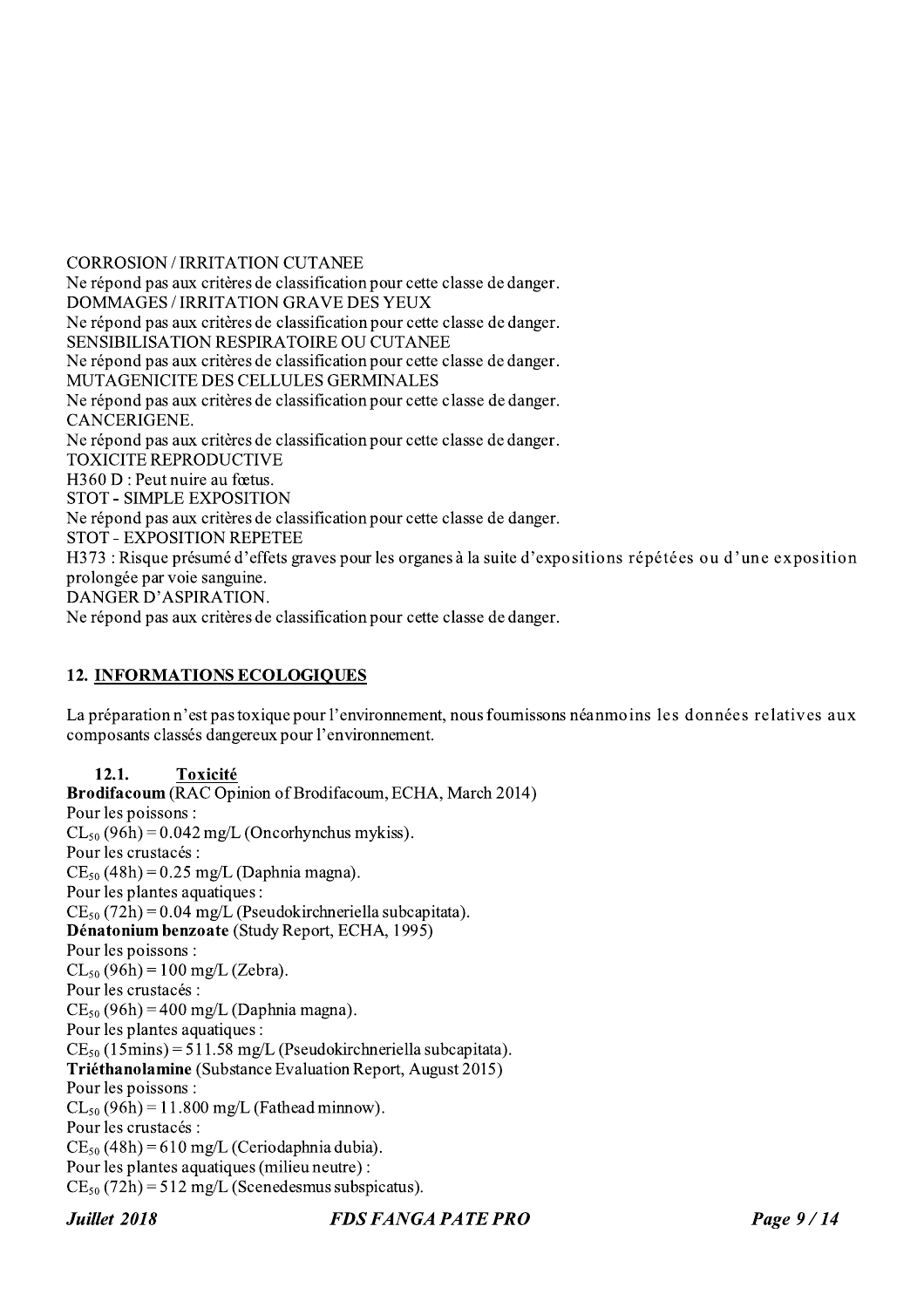**CORROSION / IRRITATION CUTANEE** Ne répond pas aux critères de classification pour cette classe de danger. DOMMAGES / IRRITATION GRAVE DES YEUX Ne répond pas aux critères de classification pour cette classe de danger. SENSIBILISATION RESPIRATOIRE OU CUTANEE Ne répond pas aux critères de classification pour cette classe de danger. MUTAGENICITE DES CELLULES GERMINALES Ne répond pas aux critères de classification pour cette classe de danger. CANCERIGENE. Ne répond pas aux critères de classification pour cette classe de danger. **TOXICITE REPRODUCTIVE** H360 D : Peut nuire au fœtus. STOT - SIMPLE EXPOSITION Ne répond pas aux critères de classification pour cette classe de danger. **STOT - EXPOSITION REPETEE** H373 : Risque présumé d'effets graves pour les organes à la suite d'expositions répétées ou d'une exposition prolongée par voie sanguine. DANGER D'ASPIRATION. Ne répond pas aux critères de classification pour cette classe de danger.

## **12. INFORMATIONS ECOLOGIQUES**

La préparation n'est pas toxique pour l'environnement, nous foumissons néanmoins les données relatives aux composants classés dangereux pour l'environnement.

#### 12.1. Toxicité

**Brodifacoum** (RAC Opinion of Brodifacoum, ECHA, March 2014) Pour les poissons :  $CL_{50}$  (96h) = 0.042 mg/L (Oncorhynchus mykiss). Pour les crustacés :  $CE_{50}$  (48h) = 0.25 mg/L (Daphnia magna). Pour les plantes aquatiques :  $CE_{50}$  (72h) = 0.04 mg/L (Pseudokirchneriella subcapitata). Dénatonium benzoate (Study Report, ECHA, 1995) Pour les poissons :  $CL_{50}$  (96h) = 100 mg/L (Zebra). Pour les crustacés :  $CE_{50}$  (96h) = 400 mg/L (Daphnia magna). Pour les plantes aquatiques :  $CE_{50}$  (15mins) = 511.58 mg/L (Pseudokirchneriella subcapitata). Triéthanolamine (Substance Evaluation Report, August 2015) Pour les poissons :  $CL_{50} (96h) = 11.800$  mg/L (Fathead minnow). Pour les crustacés :  $CE_{50}$  (48h) = 610 mg/L (Ceriodaphnia dubia). Pour les plantes aquatiques (milieu neutre) :  $CE_{50}$  (72h) = 512 mg/L (Scenedesmus subspicatus).

Juillet 2018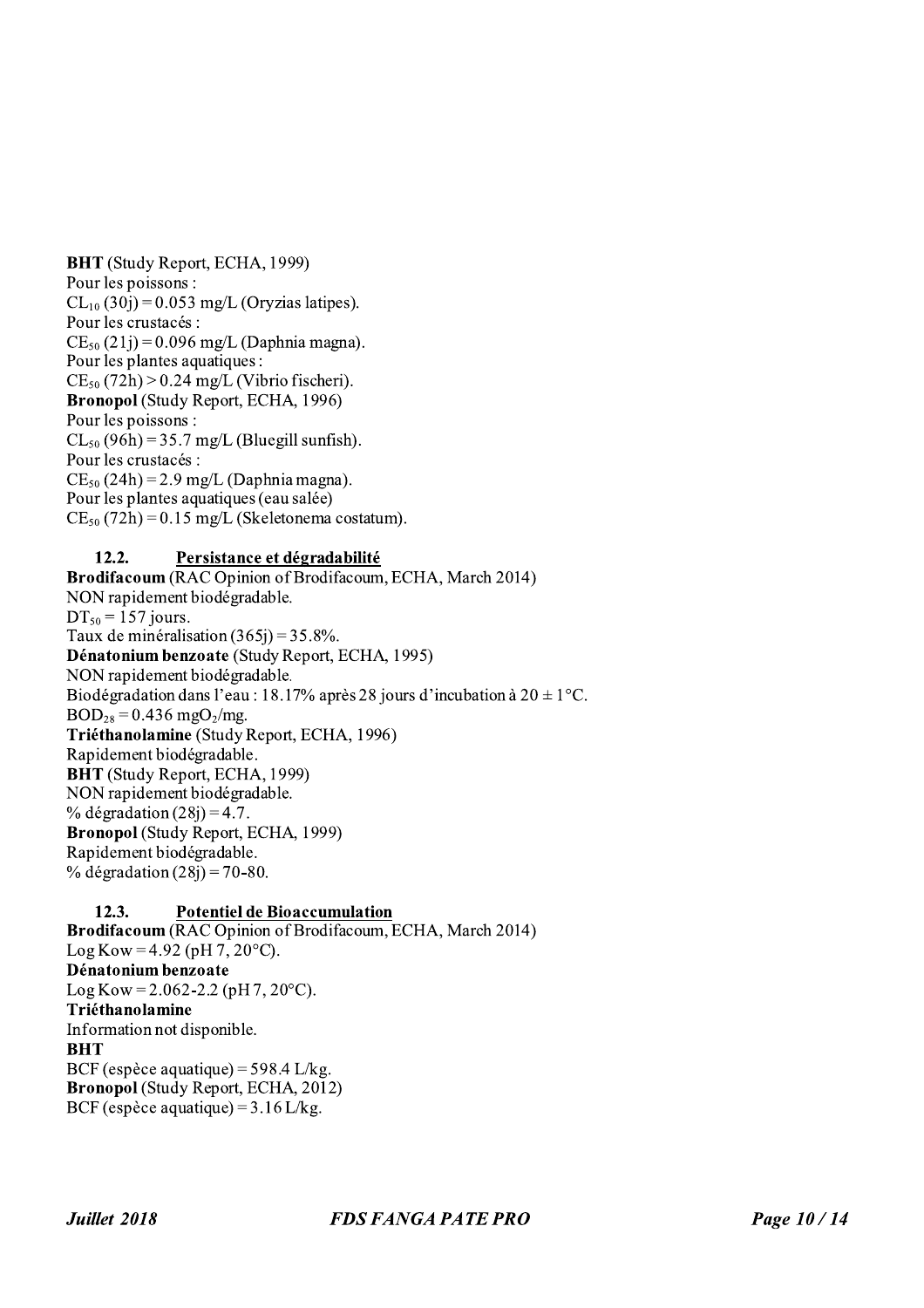**BHT** (Study Report, ECHA, 1999) Pour les poissons :  $CL_{10}(30j) = 0.053$  mg/L (Oryzias latipes). Pour les crustacés :  $CE_{50} (21i) = 0.096$  mg/L (Daphnia magna). Pour les plantes aquatiques :  $CE_{50}$  (72h) > 0.24 mg/L (Vibrio fischeri). Bronopol (Study Report, ECHA, 1996) Pour les poissons :  $CL_{50}$  (96h) = 35.7 mg/L (Bluegill sunfish). Pour les crustacés :  $CE_{50} (24h) = 2.9$  mg/L (Daphnia magna). Pour les plantes aquatiques (eau salée)  $CE_{50}$  (72h) = 0.15 mg/L (Skeletonema costatum).

#### Persistance et dégradabilité  $12.2.$

Brodifacoum (RAC Opinion of Brodifacoum, ECHA, March 2014) NON rapidement biodégradable.  $DT_{50} = 157$  jours. Taux de minéralisation  $(365j) = 35.8\%$ . Dénatonium benzoate (Study Report, ECHA, 1995) NON rapidement biodégradable. Biodégradation dans l'eau : 18.17% après 28 jours d'incubation à 20  $\pm$  1°C.  $BOD_{28} = 0.436$  mgO<sub>2</sub>/mg. Triéthanolamine (Study Report, ECHA, 1996) Rapidement biodégradable. **BHT** (Study Report, ECHA, 1999) NON rapidement biodégradable. % dégradation  $(28i) = 4.7$ . **Bronopol** (Study Report, ECHA, 1999) Rapidement biodégradable. % dégradation  $(28j) = 70-80$ .

#### $12.3.$ **Potentiel de Bioaccumulation**

Brodifacoum (RAC Opinion of Brodifacoum, ECHA, March 2014)  $Log Kow = 4.92 (pH 7, 20°C)$ . Dénatonium benzoate  $Log Kow = 2.062 - 2.2 (pH 7, 20°C).$ Triéthanolamine Information not disponible. **BHT** BCF (espèce aquatique) =  $598.4$  L/kg. Bronopol (Study Report, ECHA, 2012) BCF (espèce aquatique) =  $3.16$  L/kg.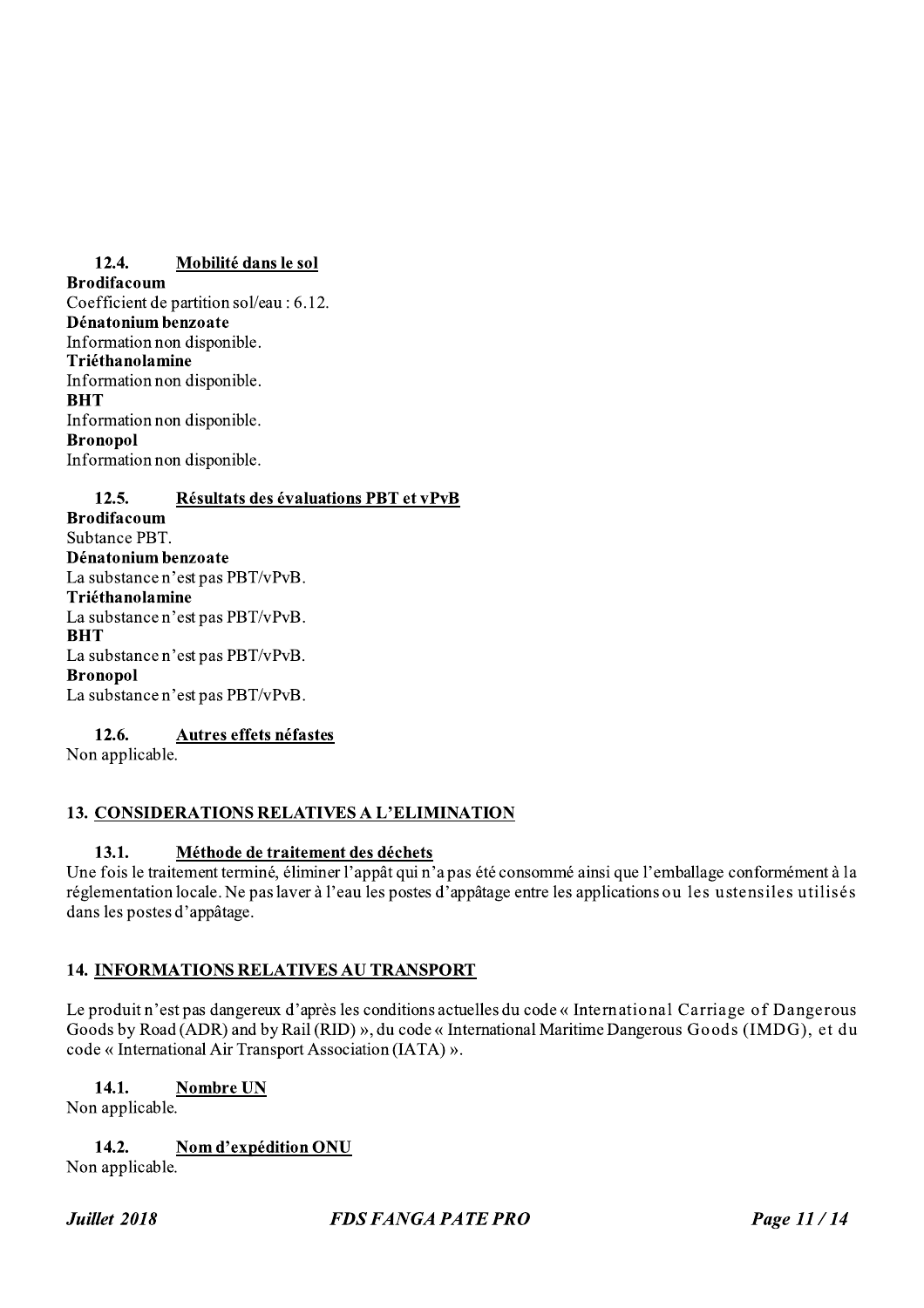#### $12.4.$ Mobilité dans le sol

**Brodifacoum** Coefficient de partition sol/eau : 6.12. Dénatonium benzoate Information non disponible. Triéthanolamine Information non disponible. **BHT** Information non disponible. **Bronopol** Information non disponible.

 $12.5.$ Résultats des évaluations PBT et vPvB **Brodifacoum** 

Subtance PBT. Dénatonium benzoate La substance n'est pas PBT/vPvB. Triéthanolamine La substance n'est pas PBT/vPvB. **BHT** La substance n'est pas PBT/vPvB. **Bronopol** La substance n'est pas PBT/vPvB.

12.6. Autres effets néfastes Non applicable.

## 13. CONSIDERATIONS RELATIVES A L'ELIMINATION

#### 13.1. Méthode de traitement des déchets

Une fois le traitement terminé, éliminer l'appât qui n'a pas été consommé ainsi que l'emballage conformément à la réglementation locale. Ne pas laver à l'eau les postes d'appâtage entre les applications ou les ustensiles utilisés dans les postes d'appâtage.

## **14. INFORMATIONS RELATIVES AU TRANSPORT**

Le produit n'est pas dangereux d'après les conditions actuelles du code « International Carriage of Dangerous Goods by Road (ADR) and by Rail (RID) », du code « International Maritime Dangerous Goods (IMDG), et du code « International Air Transport Association (IATA) ».

#### 14.1. **Nombre UN**

Non applicable.

14.2. Nom d'expédition ONU

Non applicable.

## **FDS FANGA PATE PRO**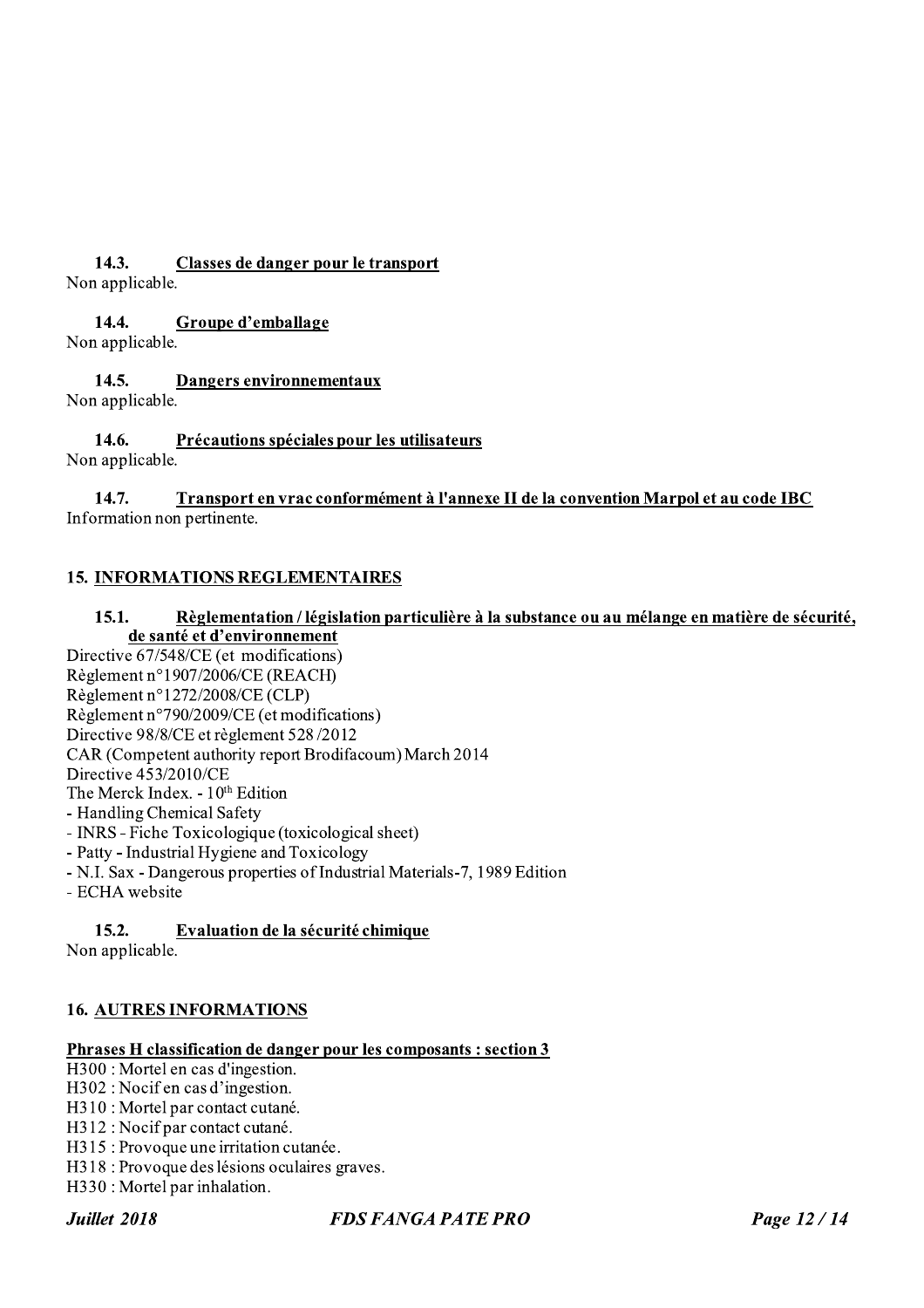#### $14.3.$ Classes de danger pour le transport

Non applicable.

#### $14.4.$ Groupe d'emballage

Non applicable.

#### $14.5.$ Dangers environnementaux Non applicable.

#### 14.6. Précautions spéciales pour les utilisateurs Non applicable.

#### Transport en vrac conformément à l'annexe II de la convention Marpol et au code IBC 14.7. Information non pertinente.

## **15. INFORMATIONS REGLEMENTAIRES**

#### $15.1.$ Règlementation / législation particulière à la substance ou au mélange en matière de sécurité, de santé et d'environnement

Directive 67/548/CE (et modifications) Règlement n°1907/2006/CE (REACH) Règlement n°1272/2008/CE (CLP) Règlement n°790/2009/CE (et modifications) Directive 98/8/CE et règlement 528/2012 CAR (Competent authority report Brodifacoum) March 2014 Directive 453/2010/CE The Merck Index. - 10<sup>th</sup> Edition - Handling Chemical Safety

- INRS - Fiche Toxicologique (toxicological sheet)

- Patty - Industrial Hygiene and Toxicology

- N.I. Sax Dangerous properties of Industrial Materials-7, 1989 Edition
- ECHA website

#### $15.2.$ Evaluation de la sécurité chimique

Non applicable.

## **16. AUTRES INFORMATIONS**

#### Phrases H classification de danger pour les composants : section 3

 $\overline{H300}$ : Mortel en cas d'ingestion.

H302: Nocif en cas d'ingestion.

- H310 : Mortel par contact cutané.
- H312: Nocif par contact cutané.
- H315: Provoque une irritation cutanée.
- H318 : Provoque des lésions oculaires graves.
- H330 : Mortel par inhalation.

Juillet 2018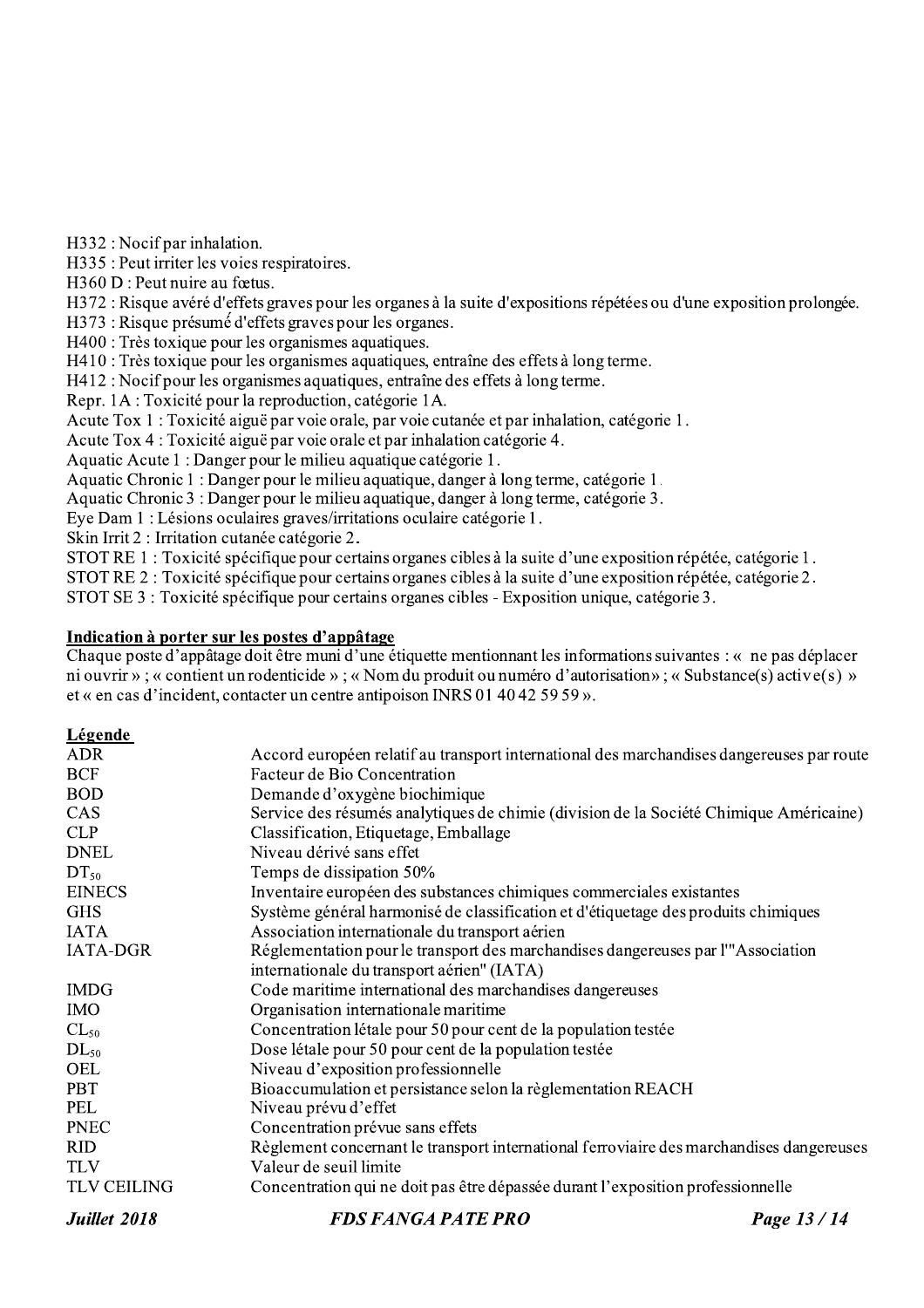H332: Nocif par inhalation.

H335 : Peut irriter les voies respiratoires.

 $H360 D$ : Peut nuire au fœtus.

H372 : Risque avéré d'effets graves pour les organes à la suite d'expositions répétées ou d'une exposition prolongée.

H373 : Risque présumé d'effets graves pour les organes.

H400 : Très toxique pour les organismes aquatiques.

H410 : Très toxique pour les organismes aquatiques, entraîne des effets à long terme.

H412 : Nocif pour les organismes aquatiques, entraîne des effets à long terme.

Repr. 1A : Toxicité pour la reproduction, catégorie 1A.

Acute Tox 1 : Toxicité aiguë par voie orale, par voie cutanée et par inhalation, catégorie 1.

Acute Tox 4 : Toxicité aiguë par voie orale et par inhalation catégorie 4.

Aquatic Acute 1 : Danger pour le milieu aquatique catégorie 1.

Aquatic Chronic 1 : Danger pour le milieu aquatique, danger à long terme, catégorie 1.

Aquatic Chronic 3 : Danger pour le milieu aquatique, danger à long terme, catégorie 3.

Eye Dam 1 : Lésions oculaires graves/irritations oculaire catégorie 1.

Skin Irrit 2 : Irritation cutanée catégorie 2.

STOT RE 1 : Toxicité spécifique pour certains organes cibles à la suite d'une exposition répétée, catégorie 1.

STOT RE 2 : Toxicité spécifique pour certains organes cibles à la suite d'une exposition répétée, catégorie 2.

STOT SE 3 : Toxicité spécifique pour certains organes cibles - Exposition unique, catégorie 3.

#### Indication à porter sur les postes d'appâtage

Chaque poste d'appâtage doit être muni d'une étiquette mentionnant les informations suivantes : « ne pas déplacer ni ouvrir » : « contient un rodenticide » : « Nom du produit ou numéro d'autorisation » : « Substance(s) active(s) » et « en cas d'incident, contacter un centre antipoison INRS 01 40 42 59 59 ».

#### Légende

| <b>ADR</b>         | Accord européen relatif au transport international des marchandises dangereuses par route |            |
|--------------------|-------------------------------------------------------------------------------------------|------------|
| <b>BCF</b>         | Facteur de Bio Concentration                                                              |            |
| <b>BOD</b>         | Demande d'oxygène biochimique                                                             |            |
| CAS                | Service des résumés analytiques de chimie (division de la Société Chimique Américaine)    |            |
| <b>CLP</b>         | Classification, Etiquetage, Emballage                                                     |            |
| <b>DNEL</b>        | Niveau dérivé sans effet                                                                  |            |
| $DT_{50}$          | Temps de dissipation 50%                                                                  |            |
| <b>EINECS</b>      | Inventaire européen des substances chimiques commerciales existantes                      |            |
| <b>GHS</b>         | Système général harmonisé de classification et d'étiquetage des produits chimiques        |            |
| <b>IATA</b>        | Association internationale du transport aérien                                            |            |
| <b>IATA-DGR</b>    | Réglementation pour le transport des marchandises dangereuses par l'"Association          |            |
|                    | internationale du transport aérien" (IATA)                                                |            |
| <b>IMDG</b>        | Code maritime international des marchandises dangereuses                                  |            |
| <b>IMO</b>         | Organisation internationale maritime                                                      |            |
| $CL_{50}$          | Concentration létale pour 50 pour cent de la population testée                            |            |
| $DL_{50}$          | Dose létale pour 50 pour cent de la population testée                                     |            |
| <b>OEL</b>         | Niveau d'exposition professionnelle                                                       |            |
| <b>PBT</b>         | Bioaccumulation et persistance selon la règlementation REACH                              |            |
| PEL                | Niveau prévu d'effet                                                                      |            |
| <b>PNEC</b>        | Concentration prévue sans effets                                                          |            |
| <b>RID</b>         | Règlement concernant le transport international ferroviaire des marchandises dangereuses  |            |
| <b>TLV</b>         | Valeur de seuil limite                                                                    |            |
| <b>TLV CEILING</b> | Concentration qui ne doit pas être dépassée durant l'exposition professionnelle           |            |
| Juillet 2018       | <b>FDS FANGA PATE PRO</b>                                                                 | Page 13/14 |